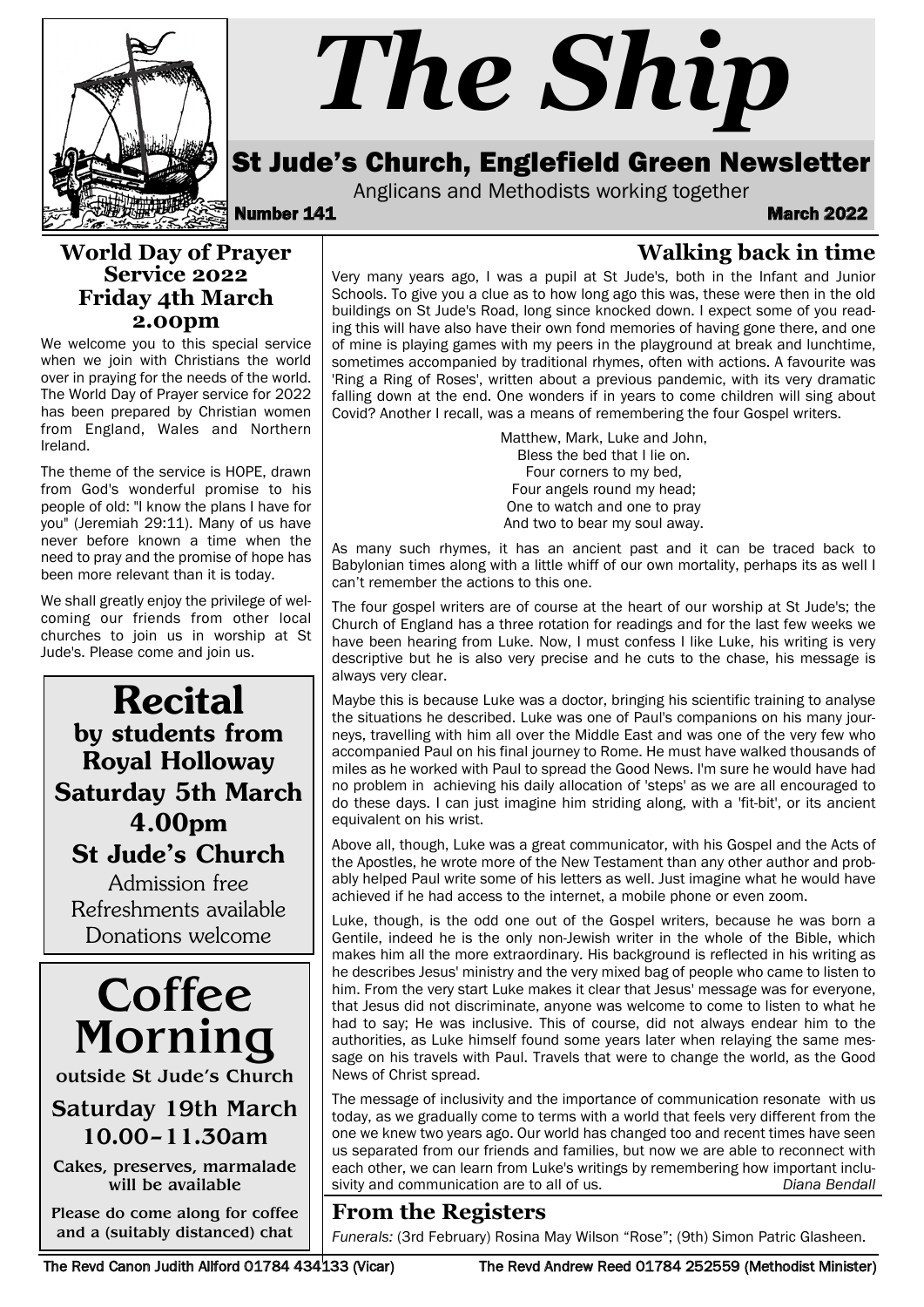

# *The Ship*

## St Jude's Church, Englefield Green Newsletter

Anglicans and Methodists working together<br>**March 2022** March

**Walking back in time**

#### **World Day of Prayer Service 2022 Friday 4th March 2.00pm**

We welcome you to this special service when we join with Christians the world over in praying for the needs of the world. The World Day of Prayer service for 2022 has been prepared by Christian women from England, Wales and Northern Ireland.

The theme of the service is HOPE, drawn from God's wonderful promise to his people of old: "I know the plans I have for you" (Jeremiah 29:11). Many of us have never before known a time when the need to pray and the promise of hope has been more relevant than it is today.

We shall greatly enjoy the privilege of welcoming our friends from other local churches to join us in worship at St Jude's. Please come and join us.

Recital by students from Royal Holloway Saturday 5th March 4.00pm St Jude's Church

Admission free Refreshments available Donations welcome



outside St Jude's Church

## Saturday 19th March 10.00–11.30am

Cakes, preserves, marmalade will be available

Please do come along for coffee and a (suitably distanced) chat

Very many years ago, I was a pupil at St Jude's, both in the Infant and Junior Schools. To give you a clue as to how long ago this was, these were then in the old buildings on St Jude's Road, long since knocked down. I expect some of you reading this will have also have their own fond memories of having gone there, and one of mine is playing games with my peers in the playground at break and lunchtime, sometimes accompanied by traditional rhymes, often with actions. A favourite was 'Ring a Ring of Roses', written about a previous pandemic, with its very dramatic falling down at the end. One wonders if in years to come children will sing about Covid? Another I recall, was a means of remembering the four Gospel writers.

> Matthew, Mark, Luke and John, Bless the bed that I lie on. Four corners to my bed, Four angels round my head; One to watch and one to pray And two to bear my soul away.

As many such rhymes, it has an ancient past and it can be traced back to Babylonian times along with a little whiff of our own mortality, perhaps its as well I can't remember the actions to this one.

The four gospel writers are of course at the heart of our worship at St Jude's; the Church of England has a three rotation for readings and for the last few weeks we have been hearing from Luke. Now, I must confess I like Luke, his writing is very descriptive but he is also very precise and he cuts to the chase, his message is always very clear.

Maybe this is because Luke was a doctor, bringing his scientific training to analyse the situations he described. Luke was one of Paul's companions on his many journeys, travelling with him all over the Middle East and was one of the very few who accompanied Paul on his final journey to Rome. He must have walked thousands of miles as he worked with Paul to spread the Good News. I'm sure he would have had no problem in achieving his daily allocation of 'steps' as we are all encouraged to do these days. I can just imagine him striding along, with a 'fit-bit', or its ancient equivalent on his wrist.

Above all, though, Luke was a great communicator, with his Gospel and the Acts of the Apostles, he wrote more of the New Testament than any other author and probably helped Paul write some of his letters as well. Just imagine what he would have achieved if he had access to the internet, a mobile phone or even zoom.

Luke, though, is the odd one out of the Gospel writers, because he was born a Gentile, indeed he is the only non-Jewish writer in the whole of the Bible, which makes him all the more extraordinary. His background is reflected in his writing as he describes Jesus' ministry and the very mixed bag of people who came to listen to him. From the very start Luke makes it clear that Jesus' message was for everyone, that Jesus did not discriminate, anyone was welcome to come to listen to what he had to say; He was inclusive. This of course, did not always endear him to the authorities, as Luke himself found some years later when relaying the same message on his travels with Paul. Travels that were to change the world, as the Good News of Christ spread.

The message of inclusivity and the importance of communication resonate with us today, as we gradually come to terms with a world that feels very different from the one we knew two years ago. Our world has changed too and recent times have seen us separated from our friends and families, but now we are able to reconnect with each other, we can learn from Luke's writings by remembering how important inclusivity and communication are to all of us. *Diana Bendall*

# **From the Registers**

*Funerals:* (3rd February) Rosina May Wilson "Rose"; (9th) Simon Patric Glasheen.

The Revd Canon Judith Allford 01784 434133 (Vicar) The Revd Andrew Reed 01784 252559 (Methodist Minister)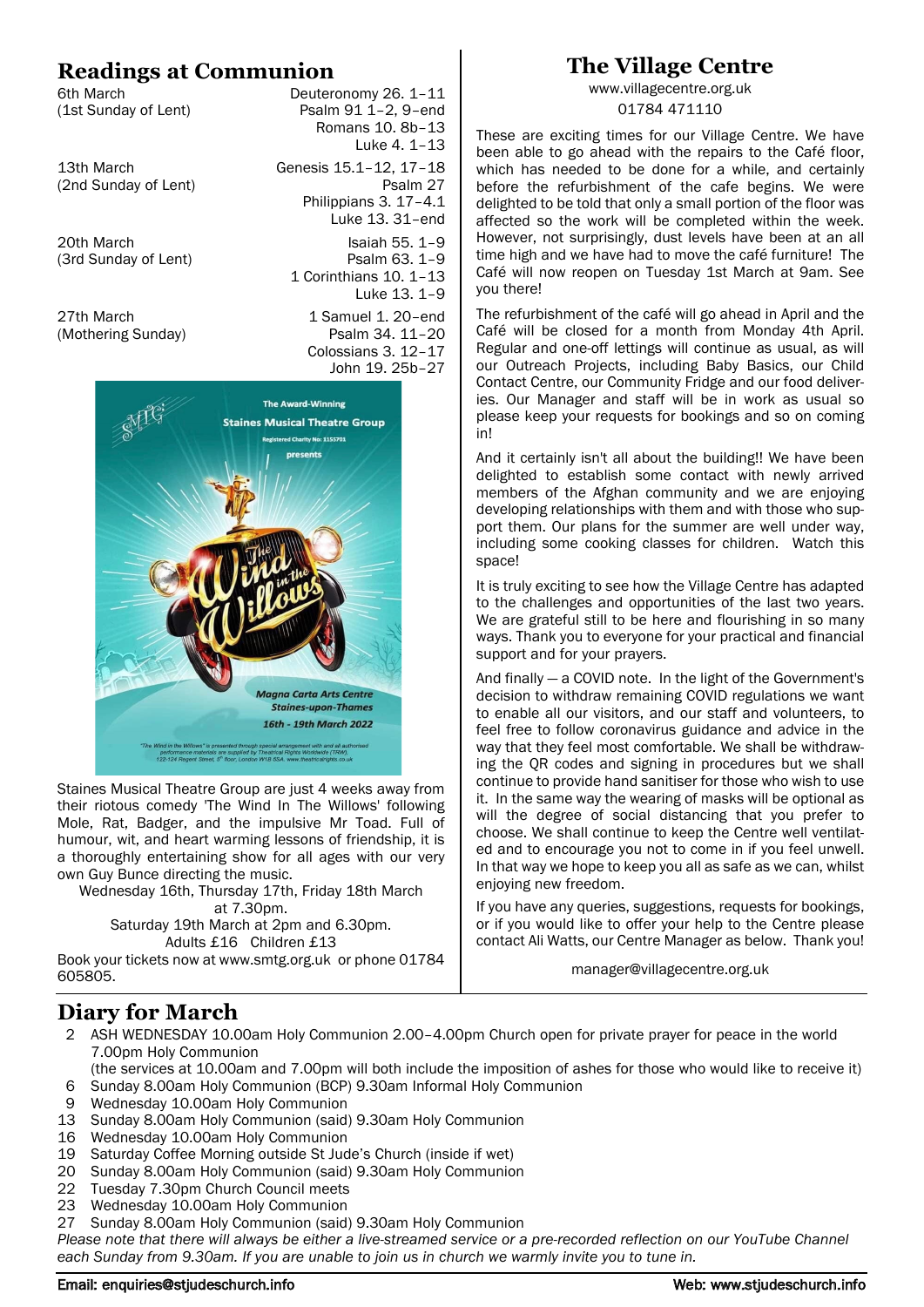## **Readings at Communion**

(1st Sunday of Lent)

6th March<br>
(1st Sunday of Lent) Deuteronomy 26. 1–11<br>
Psalm 91 1–2, 9-end Romans 10. 8b–13 Luke 4. 1–13 13th March Genesis 15.1–12, 17–18 (2nd Sunday of Lent) Psalm 27 Philippians 3. 17–4.1 Luke 13. 31–end 20th March **Isaiah** 55. 1–9 (3rd Sunday of Lent) Psalm 63. 1-9 1 Corinthians 10. 1–13 Luke 13. 1–9 27th March 27th March 27th March 27th March 27th March 20 (Mothering Sunday) Psalm 34. 11–20 Colossians 3. 12–17 John 19. 25b–27



Staines Musical Theatre Group are just 4 weeks away from their riotous comedy 'The Wind In The Willows' following Mole, Rat, Badger, and the impulsive Mr Toad. Full of humour, wit, and heart warming lessons of friendship, it is a thoroughly entertaining show for all ages with our very own Guy Bunce directing the music.

Wednesday 16th, Thursday 17th, Friday 18th March at 7.30pm. Saturday 19th March at 2pm and 6.30pm. Adults £16 Children £13

Book your tickets now at www.smtg.org.uk or phone 01784 605805.

## **The Village Centre**

www.villagecentre.org.uk 01784 471110

These are exciting times for our Village Centre. We have been able to go ahead with the repairs to the Café floor. which has needed to be done for a while, and certainly before the refurbishment of the cafe begins. We were delighted to be told that only a small portion of the floor was affected so the work will be completed within the week. However, not surprisingly, dust levels have been at an all time high and we have had to move the café furniture! The Café will now reopen on Tuesday 1st March at 9am. See you there!

The refurbishment of the café will go ahead in April and the Café will be closed for a month from Monday 4th April. Regular and one-off lettings will continue as usual, as will our Outreach Projects, including Baby Basics, our Child Contact Centre, our Community Fridge and our food deliveries. Our Manager and staff will be in work as usual so please keep your requests for bookings and so on coming in!

And it certainly isn't all about the building!! We have been delighted to establish some contact with newly arrived members of the Afghan community and we are enjoying developing relationships with them and with those who support them. Our plans for the summer are well under way, including some cooking classes for children. Watch this space!

It is truly exciting to see how the Village Centre has adapted to the challenges and opportunities of the last two years. We are grateful still to be here and flourishing in so many ways. Thank you to everyone for your practical and financial support and for your prayers.

And finally — a COVID note. In the light of the Government's decision to withdraw remaining COVID regulations we want to enable all our visitors, and our staff and volunteers, to feel free to follow coronavirus guidance and advice in the way that they feel most comfortable. We shall be withdrawing the QR codes and signing in procedures but we shall continue to provide hand sanitiser for those who wish to use it. In the same way the wearing of masks will be optional as will the degree of social distancing that you prefer to choose. We shall continue to keep the Centre well ventilated and to encourage you not to come in if you feel unwell. In that way we hope to keep you all as safe as we can, whilst enjoying new freedom.

If you have any queries, suggestions, requests for bookings, or if you would like to offer your help to the Centre please contact Ali Watts, our Centre Manager as below. Thank you!

manager@villagecentre.org.uk

## **Diary for March**

2 ASH WEDNESDAY 10.00am Holy Communion 2.00–4.00pm Church open for private prayer for peace in the world 7.00pm Holy Communion

(the services at 10.00am and 7.00pm will both include the imposition of ashes for those who would like to receive it) 6 Sunday 8.00am Holy Communion (BCP) 9.30am Informal Holy Communion

- 9 Wednesday 10.00am Holy Communion
- 13 Sunday 8.00am Holy Communion (said) 9.30am Holy Communion
- 16 Wednesday 10.00am Holy Communion
- 19 Saturday Coffee Morning outside St Jude's Church (inside if wet)
- 20 Sunday 8.00am Holy Communion (said) 9.30am Holy Communion
- 22 Tuesday 7.30pm Church Council meets
- 23 Wednesday 10.00am Holy Communion
- 27 Sunday 8.00am Holy Communion (said) 9.30am Holy Communion

*Please note that there will always be either a live-streamed service or a pre-recorded reflection on our YouTube Channel each Sunday from 9.30am. If you are unable to join us in church we warmly invite you to tune in.* 

#### Email: enquiries@stjudeschurch.info Web: www.stjudeschurch.info